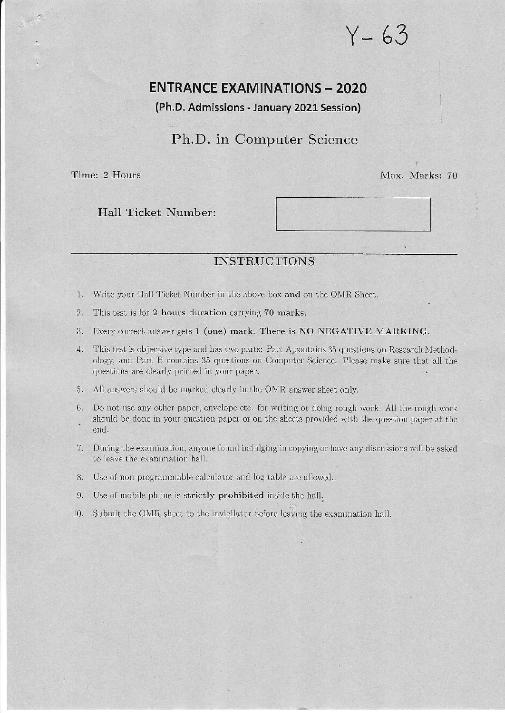## **ENTRANCE EXAMINATIONS - 2020**

(Ph.D. Admissions - January 2021 Session)

Ph.D. in Computer Science

Time: 2 Hours

Max. Marks: 70

 $Y - 63$ 

Hall Ticket Number:

#### **INSTRUCTIONS**

- Write your Hall Ticket Number in the above box and on the OMR Sheet. 1.
- This test is for 2 hours duration carrying 70 marks.  $2.$
- Every correct answer gets 1 (one) mark. There is NO NEGATIVE MARKING. 3.
- $4.$ This test is objective type and has two parts: Part A contains 35 questions on Research Methodology, and Part B contains 35 questions on Computer Science. Please make sure that all the questions are clearly printed in your paper.
- 5. All answers should be marked clearly in the OMR answer sheet only.
- Do not use any other paper, envelope etc. for writing or doing rough work. All the rough work 6. should be done in your question paper or on the sheets provided with the question paper at the end.
- During the examination, anyone found indulging in copying or have any discussions will be asked 7. to leave the examination hall.
- 8. Use of non-programmable calculator and log-table are allowed.
- Use of mobile phone is strictly prohibited inside the hall. 9.
- 10. Submit the OMR sheet to the invigilator before leaving the examination hall.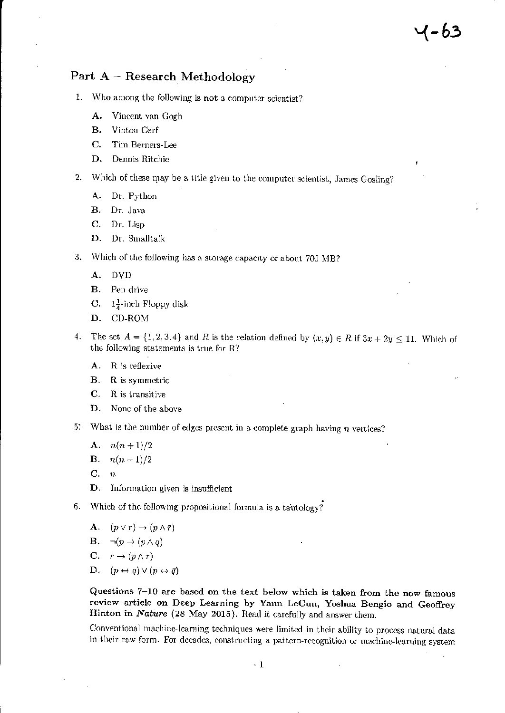### Part  $A$  – Research Methodology

- 1. Who among the following is not a computer scientist?
	- A. Vincent van Gogh
	- **B.** Vinton Cerf
	- $C.$ Tim Berners-Lee
	- D. Dennis Ritchie
- Which of these may be a title given to the computer scientist, James Gosling?  $2.$ 
	- А. Dr. Python
	- $\mathbf{B}$ . Dr. Java
	- $C_{\cdot}$ Dr. Lisp
	- D. Dr. Smalltalk
- Which of the following has a storage capacity of about 700 MB? 3.
	- A. DVD
	- **B.** Pen drive
	- $1\frac{1}{4}$ -inch Floppy disk C.
	- D. CD-ROM
- 4. The set  $A = \{1, 2, 3, 4\}$  and R is the relation defined by  $(x, y) \in R$  if  $3x + 2y \le 11$ . Which of the following statements is true for R?
	- A. R is reflexive
	- **B.** R is symmetric
	- C. R is transitive
	- D. None of the above
- 5. What is the number of edges present in a complete graph having  $n$  vertices?
	- A.  $n(n+1)/2$
	- **B.**  $n(n-1)/2$
	- $C_{\cdot}$  $12$
	- D. Information given is insufficient
- Which of the following propositional formula is a tautology? 6.
	- A.  $(\bar{p} \vee r) \rightarrow (p \wedge \bar{r})$
	- **B.**  $\neg(p \rightarrow (p \land q)$
	- C.  $r \rightarrow (p \land \bar{r})$
	- **D.**  $(p \leftrightarrow q) \vee (p \leftrightarrow \bar{q})$

Questions 7-10 are based on the text below which is taken from the now famous review article on Deep Learning by Yann LeCun, Yoshua Bengio and Geoffrey Hinton in Nature (28 May 2015). Read it carefully and answer them.

Conventional machine-learning techniques were limited in their ability to process natural data in their raw form. For decades, constructing a pattern-recognition or machine-learning system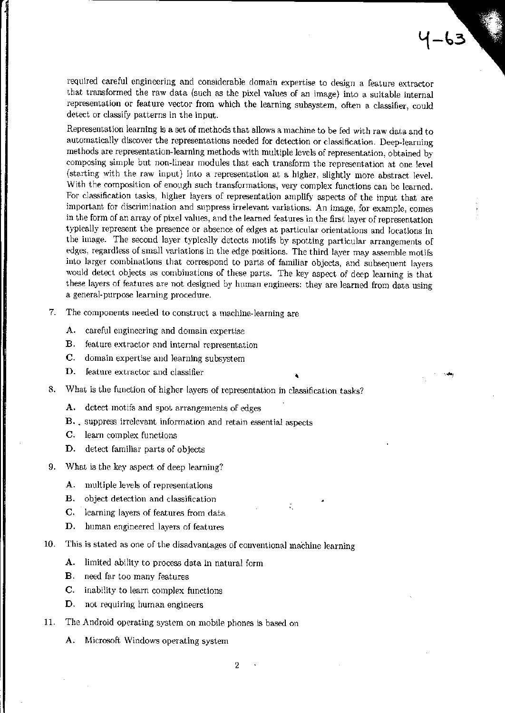required careful engineering and considerable domain expertise to design a feature extractor that transformed the raw data (such as the pixel values of an image) into a suitable internal representation or feature vector from which the learning subsystem, often a classifier, could detect or classify patterns in the input.

Representation learning is a set of methods that allows a machine to be fed with raw data and to automatically discover the representations needed for detection or classification. Deep-learning methods are representation-learning methods with multiple levels of representation, obtained by composing simple but non-linear modules that each transform the representation at one level (starting with the raw input) into a representation at a higher, slightly more abstract level. With the composition of enough such transformations, very complex functions can be learned. For classification tasks, higher layers of representation amplify aspects of the input that are important for discrimination and suppress irrelevant variations. An image, for example, comes in the form of an array of pixel values, and the learned features in the first layer of representation typically represent the presence or absence of edges at particular orientations and locations in the image. The second layer typically detects motifs by spotting particular arrangements of edges, regardless of small variations in the edge positions. The third layer may assemble motifs into larger combinations that correspond to parts of familiar objects, and subsequent layers would detect objects as combinations of these parts. The key aspect of deep learning is that these layers of features are not designed by human engineers: they are learned from data using a general-purpose learning procedure.

- 7. The components needed to construct a machine-learning are
	- А. careful engineering and domain expertise
	- **B.** feature extractor and internal representation
	- $C_{\cdot}$ domain expertise and learning subsystem
	- D. feature extractor and classifier
- What is the function of higher layers of representation in classification tasks? 8.
	- A. detect motifs and spot arrangements of edges
	- B., suppress irrelevant information and retain essential aspects
	- C. learn complex functions
	- detect familiar parts of objects D.
- 9. What is the key aspect of deep learning?
	- A. multiple levels of representations
	- **B.** object detection and classification
	- C. learning layers of features from data
	- D. human engineered layers of features
- 10. This is stated as one of the disadvantages of conventional machine learning
	- A. limited ability to process data in natural form
	- **B.** need far too many features
	- inability to learn complex functions C.
	- D. not requiring human engineers
- The Android operating system on mobile phones is based on 11.
	- A. Microsoft Windows operating system

 $\overline{2}$ 

÷,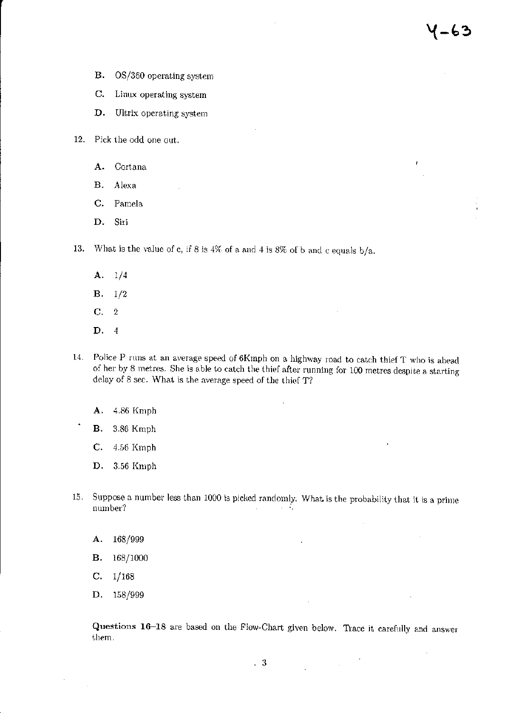$\overline{1}$ 

- B. OS/360 operating system
- C. Linux operating system
- D. Ultrix operating system
- 12. Pick the odd one out.
	- A. Cortana
	- **B.** Alexa
	- C. Pamela
	- D. Siri
- What is the value of c, if 8 is 4% of a and 4 is 8% of b and c equals  $b/a$ . 13.
	- $1/4$ A.
	- $B<sub>r</sub>$  $1/2$
	- $C_{\star}$  $\sqrt{2}$
	- $D. 4$
- Police P runs at an average speed of 6Kmph on a highway road to catch thief T who is ahead 14. of her by 8 metres. She is able to catch the thief after running for 100 metres despite a starting delay of 8 sec. What is the average speed of the thief T?
	- A. 4.86 Kmph
	- **B.** 3.86 Kmph
	- C. 4.56 Kmph
	- D. 3.56 Kmph
- Suppose a number less than 1000 is picked randomly. What is the probability that it is a prime  $15.$ number?  $\sim 100$ 
	- A. 168/999
	- **B.** 168/1000
	- C.  $1/168$
	- D. 158/999

Questions 16-18 are based on the Flow-Chart given below. Trace it carefully and answer them.

 $\bar{z}$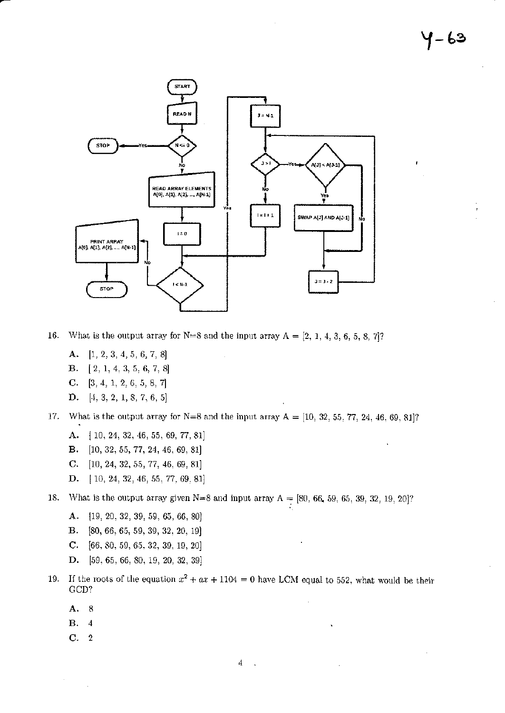

What is the output array for  $N=8$  and the input array  $A = \{2, 1, 4, 3, 6, 5, 8, 7\}$ ? 16.

- A. [1, 2, 3, 4, 5, 6, 7, 8]
- **B.** [2, 1, 4, 3, 5, 6, 7, 8]
- C.  $[3, 4, 1, 2, 6, 5, 8, 7]$
- **D.** [4, 3, 2, 1, 8, 7, 6, 5]

What is the output array for N=8 and the input array  $A = [10, 32, 55, 77, 24, 46, 69, 81]$ ? 17.

- A. [10, 24, 32, 46, 55, 69, 77, 81]
- **B.** [10, 32, 55, 77, 24, 46, 69, 81]
- C. [10, 24, 32, 55, 77, 46, 69, 81]
- D.  $[10, 24, 32, 46, 55, 77, 69, 81]$

18. What is the output array given N=8 and input array A = [80, 66, 59, 65, 39, 32, 19, 20]?

- A.  $[19, 20, 32, 39, 59, 65, 66, 80]$ **B.**  $[80, 66, 65, 59, 39, 32, 20, 19]$ C.  $[66, 80, 59, 65, 32, 39, 19, 20]$
- D.  $[59, 65, 66, 80, 19, 20, 32, 39]$
- 19. If the roots of the equation  $x^2 + ax + 1104 = 0$  have LCM equal to 552, what would be their GCD?
	- A. -8
	- в.  $\boldsymbol{4}$
	- $C. 2$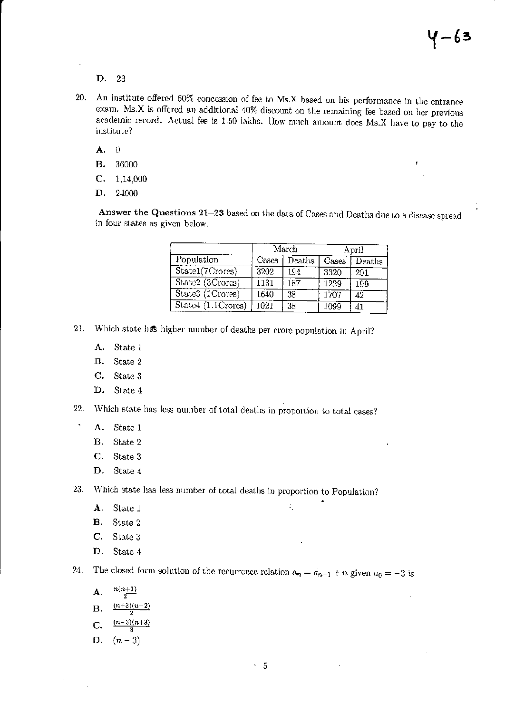J

- D. 23
- An institute offered 60% concession of fee to Ms.X based on his performance in the entrance 20. exam. Ms.X is offered an additional 40% discount on the remaining fee based on her previous academic record. Actual fee is 1.50 lakhs. How much amount does Ms.X have to pay to the institute?
	- A.  $\theta$
	- В. 36000
	- C. 1,14,000
	- D. 24000

Answer the Questions 21-23 based on the data of Cases and Deaths due to a disease spread in four states as given below.

|                                                              |       | March  | April |        |
|--------------------------------------------------------------|-------|--------|-------|--------|
| Population                                                   | Cases | Deaths | Cases | Deaths |
| State1(7Crores)                                              | 3202  | 194    | 3320  | 201    |
| State2 (3Crores)                                             | 1131  | 187    | 1229  | 199    |
| State3 (1Crores)                                             | 1640  | 38     | 1707  | 42     |
| $\overline{\text{State4}}$ (1.1 $\overline{\text{C}r}$ ores) | 1021  | 38     | 1099  | 41     |

 $\hat{\mathcal{L}}$ 

- 21. Which state has higher number of deaths per crore population in April?
	- A. State 1
	- B. State 2
	- C. State 3
	- D. State 4
- Which state has less number of total deaths in proportion to total cases? 22.
	- A. State 1

 $\ddot{\phantom{0}}$ 

- B. State 2
- C. State 3
- D. State 4

23. Which state has less number of total deaths in proportion to Population?

- A. State 1
- в. State 2
- C. State 3
- D. State 4

The closed form solution of the recurrence relation  $a_n = a_{n-1} + n$  given  $a_0 = -3$  is 24.

- $\frac{n(n+1)}{2}$ A.
- $\frac{(n+3)(n-2)}{2}$ В.
- $\frac{(n-3)(n+3)}{3}$ C.
- D.  $(n-3)$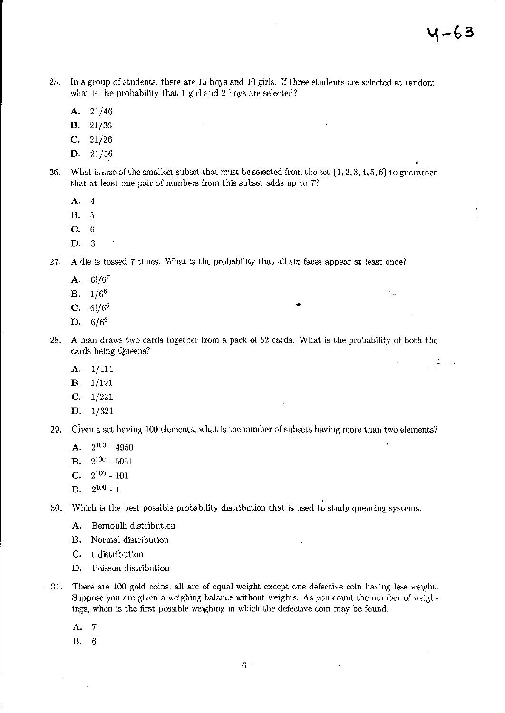$\tau \in \mathbb{R}^2$ 

- 第二章

- 25. In a group of students, there are 15 boys and 10 girls. If three students are selected at random, what is the probability that 1 girl and 2 boys are selected?
	- A.  $21/46$
	- $B. 21/36$
	- $C. 21/26$
	- D.  $21/56$
- What is size of the smallest subset that must be selected from the set  $\{1, 2, 3, 4, 5, 6\}$  to guarantee 26. that at least one pair of numbers from this subset adds up to 7?
	- ${\bf A}$  .  $\overline{4}$
	- **B.**  $\overline{5}$
	- C. 6
	- D. 3

A die is tossed 7 times. What is the probability that all six faces appear at least once? 27.

- $6!/6^{7}$ A.
- $1/6^6$ В.
- $6!/6^6$  $\mathbf{C}$ .
- $6/6^{6}$ D.
- 28. A man draws two cards together from a pack of 52 cards. What is the probability of both the cards being Queens?
	- $A. 1/111$
	- $1/121$ **B.**
	- $C. 1/221$
	- $D. 1/321$

Given a set having 100 elements, what is the number of subsets having more than two elements? 29.

- $2^{100} 4950$  $A.$
- $2^{100} 5051$  $\mathbf{B}$ .
- C.  $2^{100} 101$
- D.  $2^{100} 1$

Which is the best possible probability distribution that is used to study queueing systems. 30.

- A. Bernoulli distribution
- B. Normal distribution
- C. t-distribution
- D. Poisson distribution
- There are 100 gold coins, all are of equal weight except one defective coin having less weight. 31. Suppose you are given a weighing balance without weights. As you count the number of weighings, when is the first possible weighing in which the defective coin may be found.
	- Α.  $\overline{7}$
	- $B. 6$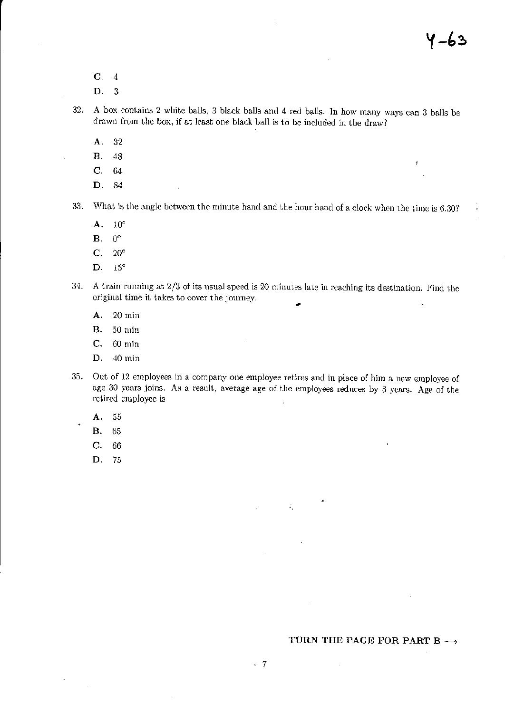$\overline{1}$ 

 $C.4$ 

D.  $\overline{3}$ 

- A box contains 2 white balls, 3 black balls and 4 red balls. In how many ways can 3 balls be 32. drawn from the box, if at least one black ball is to be included in the draw?
	- A. 32
	- **B.**  $48\,$
	- C. 64
	- D. 84
- 33. What is the angle between the minute hand and the hour hand of a clock when the time is 6.30?
	- $10^{\circ}$ A.
	- $0^{\circ}$ **B.**
	- $\mathbf{C}$ .  $20^{\circ}$
	- D.  $15^{\circ}$
- 34. A train running at 2/3 of its usual speed is 20 minutes late in reaching its destination. Find the original time it takes to cover the journey.
	- A. 20 min
	- **B.**  $50$  min
	- $C.$  $60 \text{ min}$
	- D.  $40$  min
- Out of 12 employees in a company one employee retires and in place of him a new employee of 35. age 30 years joins. As a result, average age of the employees reduces by 3 years. Age of the retired employee is

 $\tilde{\mathcal{L}}_1$ 

- А. 55
- **B.** 65

ł,

- C. 66
- D. 75

TURN THE PAGE FOR PART B  $\longrightarrow$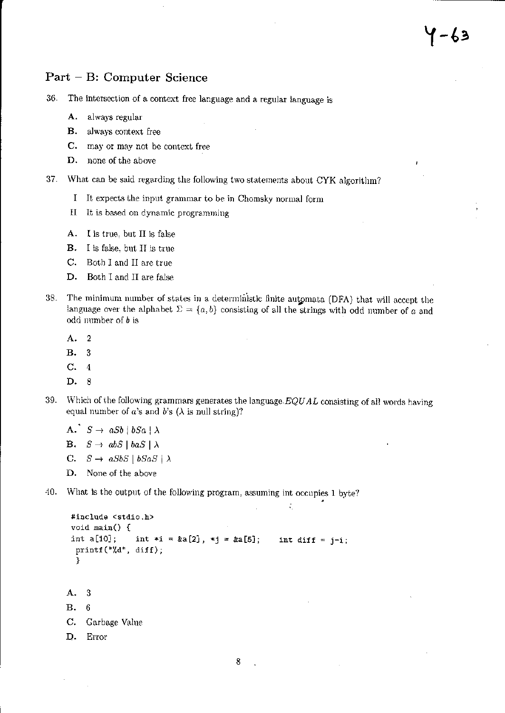#### Part – B: Computer Science

The intersection of a context free language and a regular language is 36.

- A. always regular
- **B.** always context free
- $\mathbf{C}$ . may or may not be context free
- D. none of the above
- 37. What can be said regarding the following two statements about CYK algorithm?
	- I It expects the input grammar to be in Chomsky normal form
	- $\mathbf{H}$ It is based on dynamic programming
	- A. I is true, but II is false
	- **B.** I is false, but II is true
	- $C<sub>1</sub>$ Both I and II are true
	- D. Both I and II are false
- 38. The minimum number of states in a deterministic finite automata (DFA) that will accept the language over the alphabet  $\Sigma = \{a, b\}$  consisting of all the strings with odd number of a and odd number of  $b$  is

'-63

J

- $A.$  $\overline{2}$
- **B.** 3
- $C. 4$
- D. 8
- Which of the following grammars generates the language EQUAL consisting of all words having 39. equal number of a's and b's ( $\lambda$  is null string)?

÷,

- A.  $S \rightarrow aSb \mid bSa \mid \lambda$
- **B.**  $S \rightarrow abS \mid baS \mid \lambda$
- C.  $S \rightarrow aSbS \mid bSaS \mid \lambda$
- D. None of the above

40. What is the output of the following program, assuming int occupies 1 byte?

```
#include <stdio.h>
void main() \{int a[10];
              int *i = \&a[2], *j = \&a[5];
                                               int diff = j-i;
printf("%d", diff);
 }
```
 $\mathbf{A}$ . - 3

- **B.**  $-6$
- C. Garbage Value
- D. Error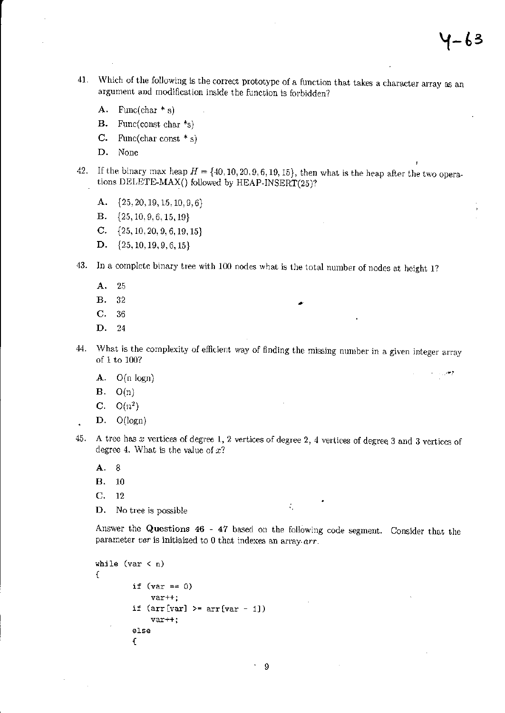<del>و س</del>ر رو

- 41. Which of the following is the correct prototype of a function that takes a character array as an argument and modification inside the function is forbidden?
	- Func(char  $*$  s) А.
	- **B.** Func(const char  $*_s$ )
	- C. Func(char const  $*$  s)
	- D. None
- If the binary max heap  $H = \{40, 10, 20, 9, 6, 19, 15\}$ , then what is the heap after the two opera-42. tions DELETE-MAX() followed by HEAP-INSERT(25)?
	- A.  $\{25, 20, 19, 15, 10, 9, 6\}$
	- **B.**  $\{25, 10, 9, 6, 15, 19\}$
	- C.  $\{25, 10, 20, 9, 6, 19, 15\}$
	- D.  $\{25, 10, 19, 9, 6, 15\}$

In a complete binary tree with 100 nodes what is the total number of nodes at height 1? 43.

- A. 25
- **B.** 32
- $\mathbf{C}$ . 36
- D. 24
- 44. What is the complexity of efficient way of finding the missing number in a given integer array of 1 to 100?
	- $A.$  O(n logn)
	- **B.**  $O(n)$
	- $O(n^2)$ C.
	- D.  $O(logn)$
- 45. A tree has  $x$  vertices of degree 1, 2 vertices of degree 2, 4 vertices of degree 3 and 3 vertices of degree 4. What is the value of  $x$ ?
	- A. 8
	- **B.**  $10$
	- $C.$  $12$
	- D. No tree is possible

Answer the Questions 46 - 47 based on the following code segment. Consider that the parameter var is initiaized to 0 that indexes an array arr.

Å.

```
while (var < n)\mathfrak{c}if (var == 0)\texttt{var++}:if \text{arr}[\text{var}] \geq \text{arr}[\text{var} - 1]\text{var}++:
              else
              \mathfrak{c}
```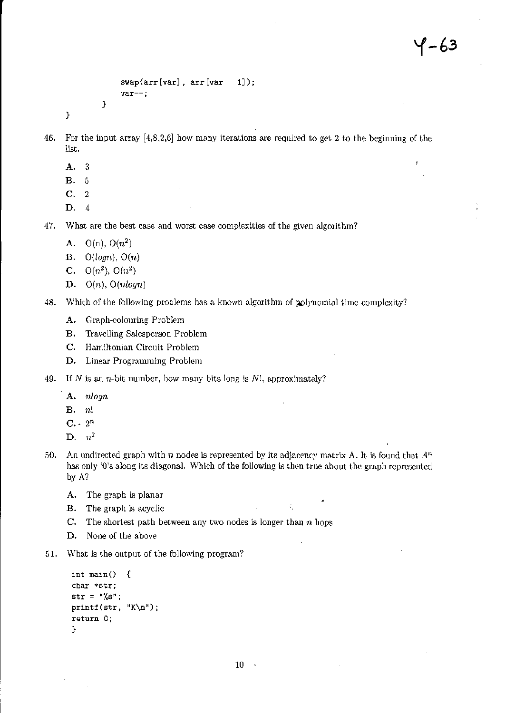j

```
swap(\arr[\nvar], arr[\nvar - 1]);var--;\mathcal{F}
```
- For the input array  $[4,8,2,6]$  how many iterations are required to get 2 to the beginning of the 46. list.
	- 3 A.

 $\mathbf{I}$ 

- **B.** 5
- $C. 2$
- $D.4$

What are the best case and worst case complexities of the given algorithm? 47.

- **A.**  $O(n)$ ,  $O(n^2)$
- **B.**  $O(log n)$ ,  $O(n)$
- C.  $O(n^2)$ ,  $O(n^2)$
- D.  $O(n)$ ,  $O(nlog n)$
- 48. Which of the following problems has a known algorithm of polynomial time complexity?
	- A. Graph-colouring Problem
	- **B.** Travelling Salesperson Problem
	- C. Hamiltonian Circuit Problem
	- D. Linear Programming Problem
- 49. If N is an *n*-bit number, how many bits long is  $N!$ , approximately?
	- $A.$   $nlogn$
	- $B.$   $n!$
	- $C. 2^n$
	- D.  $n^2$
- 50. An undirected graph with *n* nodes is represented by its adjacency matrix A. It is found that  $A^n$ has only '0's along its diagonal. Which of the following is then true about the graph represented by A?

 $\ddot{\cdot}$ 

- A. The graph is planar
- **B.** The graph is acyclic
- $C_{\star}$ The shortest path between any two nodes is longer than  $n$  hops
- D. None of the above
- 51. What is the output of the following program?

```
int \, min()\mathcal{L}char *str:
str = "\&s";
printf(str, "K\n");
return 0;
\mathbf{r}
```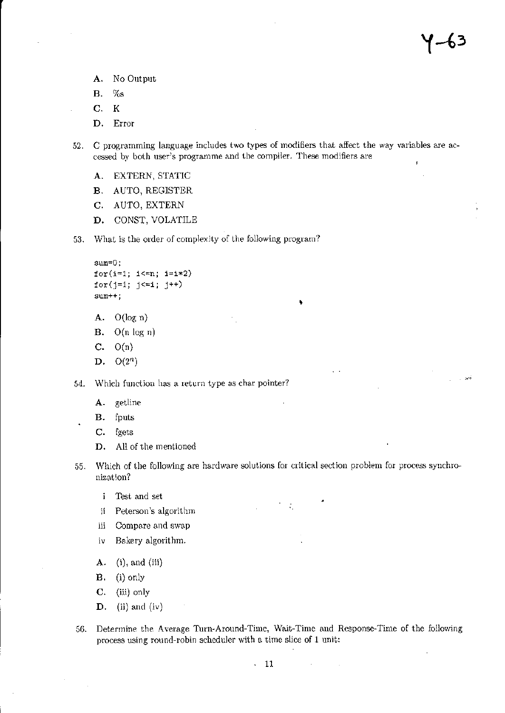- A. No Output
- **B.**  $\%s$
- $\mathbf K$ C.
- D. Error
- C programming language includes two types of modifiers that affect the way variables are ac-52. cessed by both user's programme and the compiler. These modifiers are
	- EXTERN, STATIC A.
	- AUTO, REGISTER **B.**
	- C. AUTO, EXTERN
	- D. CONST, VOLATILE
- What is the order of complexity of the following program? 53.

```
sum=0:
for(i=1; i<=n; i=i*2)
for(j=1; j<=i; j++)sum++;
```
- A.  $O(log n)$
- В.  $O(n \log n)$
- C.  $O(n)$
- D.  $O(2^n)$

54. Which function has a return type as char pointer?

- $\mathbf{A}$ . getline
- **B.** fputs
- C. fgets
- All of the mentioned D.
- Which of the following are hardware solutions for critical section problem for process synchro- $55.$ nization?
	- $\mathbf{i}$ Test and set
	- Peterson's algorithm ií
	- Compare and swap iii
	- iv Bakery algorithm.
	- $(i)$ , and  $(iii)$ А.
	- **B.**  $(i)$  only
	- $C_{\star}$ (iii) only
	- D.  $(ii)$  and  $(iv)$
- 56. Determine the Average Turn-Around-Time, Wait-Time and Response-Time of the following process using round-robin scheduler with a time slice of 1 unit: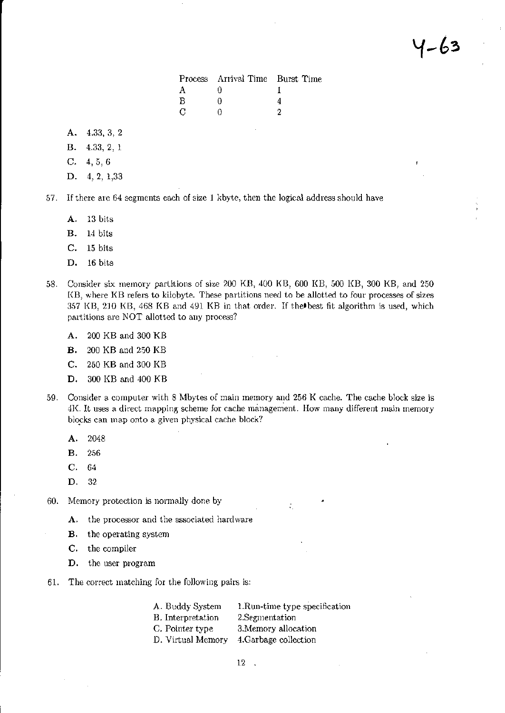|               | Process Arrival Time Burst Time |  |
|---------------|---------------------------------|--|
| A             |                                 |  |
| B             |                                 |  |
| $\mathcal{C}$ |                                 |  |

- A.  $4.33, 3, 2$
- **B.**  $4.33, 2, 1$
- $C_{\star}$  $4, 5, 6$
- D.  $4, 2, 1, 33$

If there are 64 segments each of size 1 kbyte, then the logical address should have 57.

- A. 13 bits
- **B.** 14 bits
- $C_{\star}$ 15 bits
- D. 16 bits
- Consider six memory partitions of size 200 KB, 400 KB, 600 KB, 500 KB, 300 KB, and 250 58. KB, where KB refers to kilobyte. These partitions need to be allotted to four processes of sizes 357 KB, 210 KB, 468 KB and 491 KB in that order. If the best fit algorithm is used, which partitions are NOT allotted to any process?
	- A. 200 KB and 300 KB
	- в. 200 KB and 250 KB
	- C. 250 KB and 300 KB
	- D. 300 KB and 400 KB
- 59. Consider a computer with 8 Mbytes of main memory and 256 K cache. The cache block size is 4K. It uses a direct mapping scheme for cache management. How many different main memory blocks can map onto a given physical cache block?
	- 2048 A.
	- **B.** 256
	- C. 64
	- D. 32
- 60. Memory protection is normally done by
	- A. the processor and the associated hardware
	- в. the operating system
	- C. the compiler
	- D. the user program
- The correct matching for the following pairs is: 61.

1.Run-time type specification A. Buddy System B. Interpretation 2. Segmentation C. Pointer type 3. Memory allocation D. Virtual Memory 4. Garbage collection

 $\ddot{\cdot}$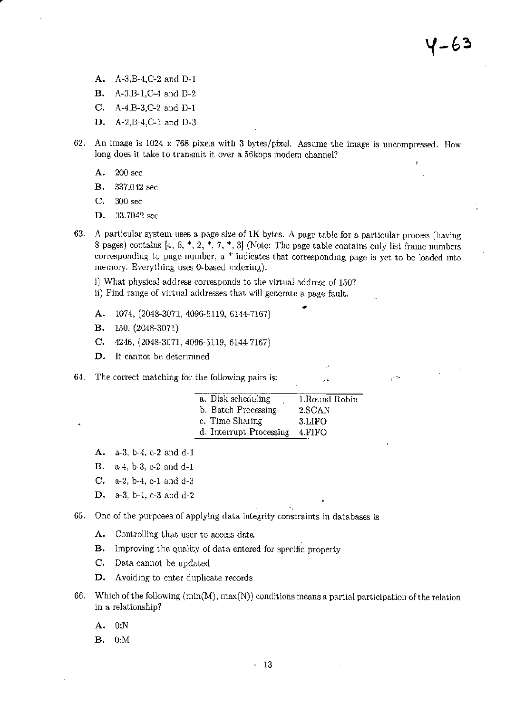$\zeta$   $\approx$ 

- A.  $A-3, B-4, C-2$  and  $D-1$
- **B.**  $A-3, B-1, C-4$  and  $D-2$
- C. A-4, B-3, C-2 and D-1
- D.  $A-2, B-4, C-1$  and  $D-3$
- 62. An image is 1024 x 768 pixels with 3 bytes/pixel. Assume the image is uncompressed. How long does it take to transmit it over a 56kbps modem channel?
	- $A.$  $200$  sec
	- в. 337.042 sec

C.  $300<sub>sec</sub>$ 

- D. 33.7042 sec
- 63. A particular system uses a page size of 1K bytes. A page table for a particular process (having 8 pages) contains [4, 6, \*, 2, \*, 7, \*, 3] (Note: The page table contains only list frame numbers corresponding to page number, a \* indicates that corresponding page is yet to be loaded into memory. Everything uses 0-based indexing).
	- i) What physical address corresponds to the virtual address of 150?
	- ii) Find range of virtual addresses that will generate a page fault.
	- А. 1074, (2048-3071, 4096-5119, 6144-7167)
	- **B.** 150, (2048-3071)
	- C. 4246, (2048-3071, 4096-5119, 6144-7167)
	- D. It cannot be determined

The correct matching for the following pairs is: 64.

| a. Disk scheduling      | 1.Round Robin |
|-------------------------|---------------|
| b. Batch Processing     | 2.SCAN        |
| c. Time Sharing         | 3.LIFO        |
| d. Interrupt Processing | 4.FIFO        |

- A. a-3, b-4, c-2 and d-1
- **B.**  $a-4$ ,  $b-3$ ,  $c-2$  and  $d-1$
- C. a-2, b-4, c-1 and  $d-3$
- D.  $a-3$ , b-4, c-3 and d-2

One of the purposes of applying data integrity constraints in databases is 65.

- А. Controlling that user to access data
- **B.** Improving the quality of data entered for specific property
- C. Data cannot be updated
- D. Avoiding to enter duplicate records
- 66. Which of the following  $(\min(M), \max(N))$  conditions means a partial participation of the relation in a relationship?
	- $0:N$ А.
	- **B.**  $0:M$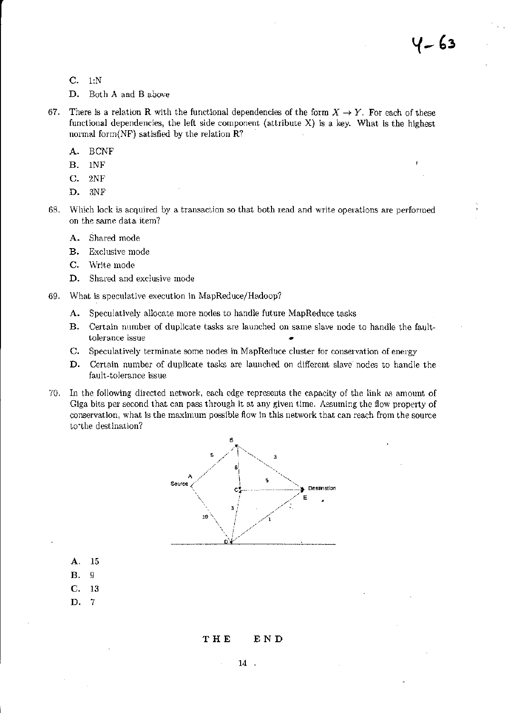- $C_{\star}$  $1:N$
- D. Both A and B above
- 67. There is a relation R with the functional dependencies of the form  $X \to Y$ . For each of these functional dependencies, the left side component (attribute  $X$ ) is a key. What is the highest normal form(NF) satisfied by the relation R?
	- **BCNF** А.
	- $\mathbf{B}$ .  $1NF$
	- C.  $2NF$
	- D.  $3NF$
- 68. Which lock is acquired by a transaction so that both read and write operations are performed on the same data item?
	- Shared mode A.
	- **B.** Exclusive mode
	- $\mathbf{C}$ . Write mode
	- D. Shared and exclusive mode
- 69. What is speculative execution in MapReduce/Hadoop?
	- Speculatively allocate more nodes to handle future MapReduce tasks A.
	- Certain number of duplicate tasks are launched on same slave node to handle the fault- $\mathbf{B}$ . tolerance issue
	- Speculatively terminate some nodes in MapReduce cluster for conservation of energy C.
	- D. Certain number of duplicate tasks are launched on different slave nodes to handle the fault-tolerance issue
- In the following directed network, each edge represents the capacity of the link as amount of 70. Giga bits per second that can pass through it at any given time. Assuming the flow property of conservation, what is the maximum possible flow in this network that can reach from the source to the destination?



- А. 15
- 9 **B.**
- 13 С.
- D.  $\overline{7}$